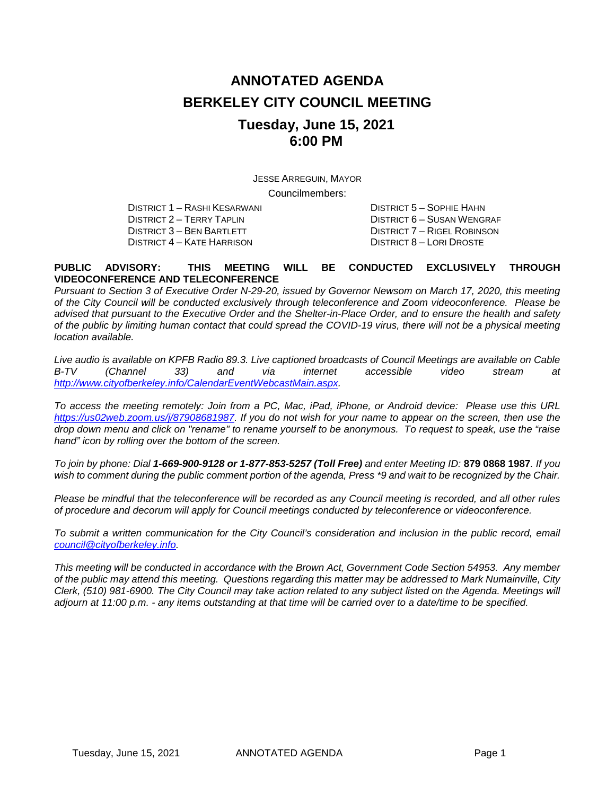# **ANNOTATED AGENDA BERKELEY CITY COUNCIL MEETING Tuesday, June 15, 2021 6:00 PM**

JESSE ARREGUIN, MAYOR

Councilmembers:

DISTRICT 2 – TERRY TAPLIN DISTRICT 6 – SUSAN WENGRAF DISTRICT 4 – KATE HARRISON

DISTRICT 1 – RASHI KESARWANI DISTRICT 5 – SOPHIE HAHN DISTRICT 7 – RIGEL ROBINSON<br>DISTRICT 8 – LORI DROSTE

#### **PUBLIC ADVISORY: THIS MEETING WILL BE CONDUCTED EXCLUSIVELY THROUGH VIDEOCONFERENCE AND TELECONFERENCE**

*Pursuant to Section 3 of Executive Order N-29-20, issued by Governor Newsom on March 17, 2020, this meeting of the City Council will be conducted exclusively through teleconference and Zoom videoconference. Please be advised that pursuant to the Executive Order and the Shelter-in-Place Order, and to ensure the health and safety of the public by limiting human contact that could spread the COVID-19 virus, there will not be a physical meeting location available.* 

*Live audio is available on KPFB Radio 89.3. Live captioned broadcasts of Council Meetings are available on Cable B-TV (Channel 33) and via internet accessible video stream at [http://www.cityofberkeley.info/CalendarEventWebcastMain.aspx.](http://www.cityofberkeley.info/CalendarEventWebcastMain.aspx)*

*To access the meeting remotely: Join from a PC, Mac, iPad, iPhone, or Android device: Please use this URL [https://us02web.zoom.us/j/87908681987.](https://us02web.zoom.us/j/87908681987) If you do not wish for your name to appear on the screen, then use the drop down menu and click on "rename" to rename yourself to be anonymous. To request to speak, use the "raise hand" icon by rolling over the bottom of the screen.* 

*To join by phone: Dial 1-669-900-9128 or 1-877-853-5257 (Toll Free) and enter Meeting ID:* **879 0868 1987***. If you*  wish to comment during the public comment portion of the agenda, Press \*9 and wait to be recognized by the Chair.

*Please be mindful that the teleconference will be recorded as any Council meeting is recorded, and all other rules of procedure and decorum will apply for Council meetings conducted by teleconference or videoconference.*

To submit a written communication for the City Council's consideration and inclusion in the public record, email *[council@cityofberkeley.info.](mailto:council@cityofberkeley.info)*

*This meeting will be conducted in accordance with the Brown Act, Government Code Section 54953. Any member of the public may attend this meeting. Questions regarding this matter may be addressed to Mark Numainville, City Clerk, (510) 981-6900. The City Council may take action related to any subject listed on the Agenda. Meetings will adjourn at 11:00 p.m. - any items outstanding at that time will be carried over to a date/time to be specified.*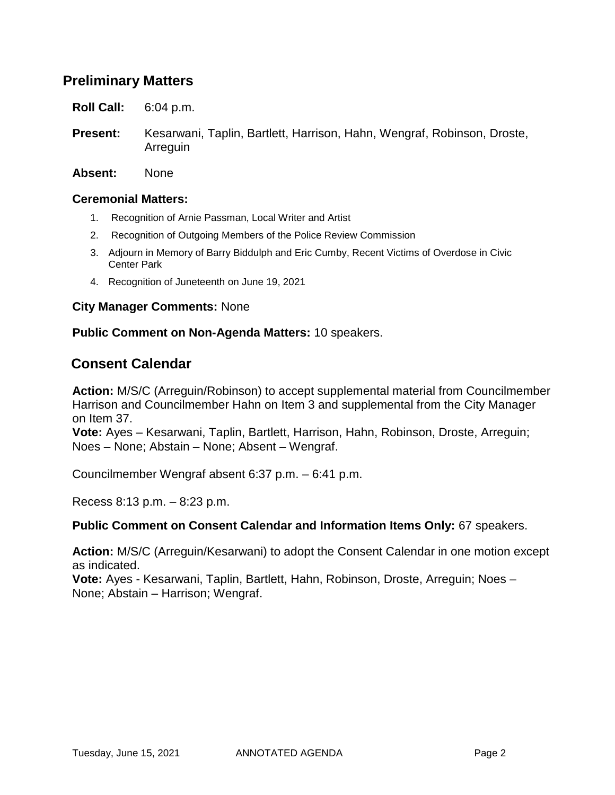# **Preliminary Matters**

**Roll Call:** 6:04 p.m.

- **Present:** Kesarwani, Taplin, Bartlett, Harrison, Hahn, Wengraf, Robinson, Droste, Arreguin
- **Absent:** None

#### **Ceremonial Matters:**

- 1. Recognition of Arnie Passman, Local Writer and Artist
- 2. Recognition of Outgoing Members of the Police Review Commission
- 3. Adjourn in Memory of Barry Biddulph and Eric Cumby, Recent Victims of Overdose in Civic Center Park
- 4. Recognition of Juneteenth on June 19, 2021

#### **City Manager Comments:** None

#### **Public Comment on Non-Agenda Matters:** 10 speakers.

# **Consent Calendar**

**Action:** M/S/C (Arreguin/Robinson) to accept supplemental material from Councilmember Harrison and Councilmember Hahn on Item 3 and supplemental from the City Manager on Item 37.

**Vote:** Ayes – Kesarwani, Taplin, Bartlett, Harrison, Hahn, Robinson, Droste, Arreguin; Noes – None; Abstain – None; Absent – Wengraf.

Councilmember Wengraf absent 6:37 p.m. – 6:41 p.m.

Recess 8:13 p.m. – 8:23 p.m.

#### **Public Comment on Consent Calendar and Information Items Only:** 67 speakers.

**Action:** M/S/C (Arreguin/Kesarwani) to adopt the Consent Calendar in one motion except as indicated.

**Vote:** Ayes - Kesarwani, Taplin, Bartlett, Hahn, Robinson, Droste, Arreguin; Noes – None; Abstain – Harrison; Wengraf.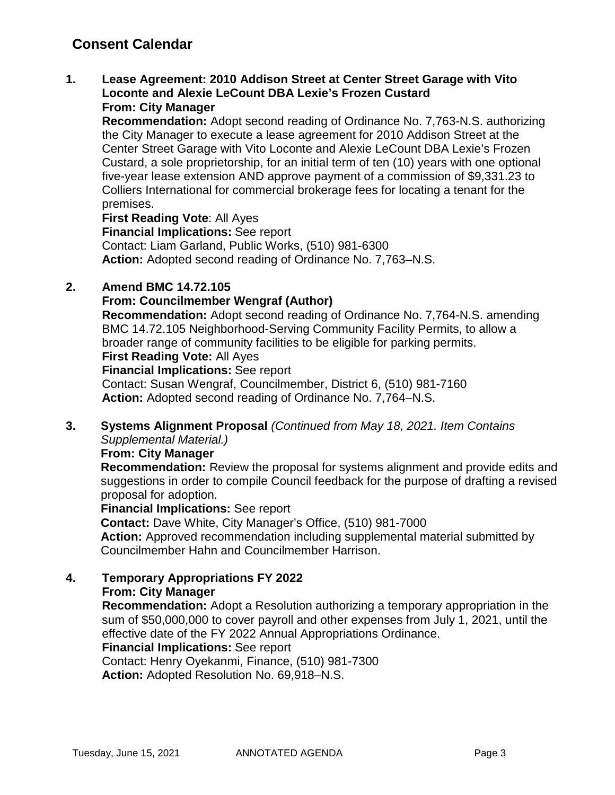# **Consent Calendar**

**1. Lease Agreement: 2010 Addison Street at Center Street Garage with Vito Loconte and Alexie LeCount DBA Lexie's Frozen Custard From: City Manager**

**Recommendation:** Adopt second reading of Ordinance No. 7,763-N.S. authorizing the City Manager to execute a lease agreement for 2010 Addison Street at the Center Street Garage with Vito Loconte and Alexie LeCount DBA Lexie's Frozen Custard, a sole proprietorship, for an initial term of ten (10) years with one optional five-year lease extension AND approve payment of a commission of \$9,331.23 to Colliers International for commercial brokerage fees for locating a tenant for the premises.

**First Reading Vote**: All Ayes

**Financial Implications:** See report Contact: Liam Garland, Public Works, (510) 981-6300

**Action:** Adopted second reading of Ordinance No. 7,763–N.S.

### **2. Amend BMC 14.72.105**

### **From: Councilmember Wengraf (Author)**

**Recommendation:** Adopt second reading of Ordinance No. 7,764-N.S. amending BMC 14.72.105 Neighborhood-Serving Community Facility Permits, to allow a broader range of community facilities to be eligible for parking permits.

# **First Reading Vote:** All Ayes

**Financial Implications:** See report

Contact: Susan Wengraf, Councilmember, District 6, (510) 981-7160 **Action:** Adopted second reading of Ordinance No. 7,764–N.S.

### **3. Systems Alignment Proposal** *(Continued from May 18, 2021. Item Contains Supplemental Material.)*

#### **From: City Manager**

**Recommendation:** Review the proposal for systems alignment and provide edits and suggestions in order to compile Council feedback for the purpose of drafting a revised proposal for adoption.

**Financial Implications:** See report

**Contact:** Dave White, City Manager's Office, (510) 981-7000

**Action:** Approved recommendation including supplemental material submitted by Councilmember Hahn and Councilmember Harrison.

### **4. Temporary Appropriations FY 2022**

### **From: City Manager**

**Recommendation:** Adopt a Resolution authorizing a temporary appropriation in the sum of \$50,000,000 to cover payroll and other expenses from July 1, 2021, until the effective date of the FY 2022 Annual Appropriations Ordinance.

### **Financial Implications:** See report

Contact: Henry Oyekanmi, Finance, (510) 981-7300 **Action:** Adopted Resolution No. 69,918–N.S.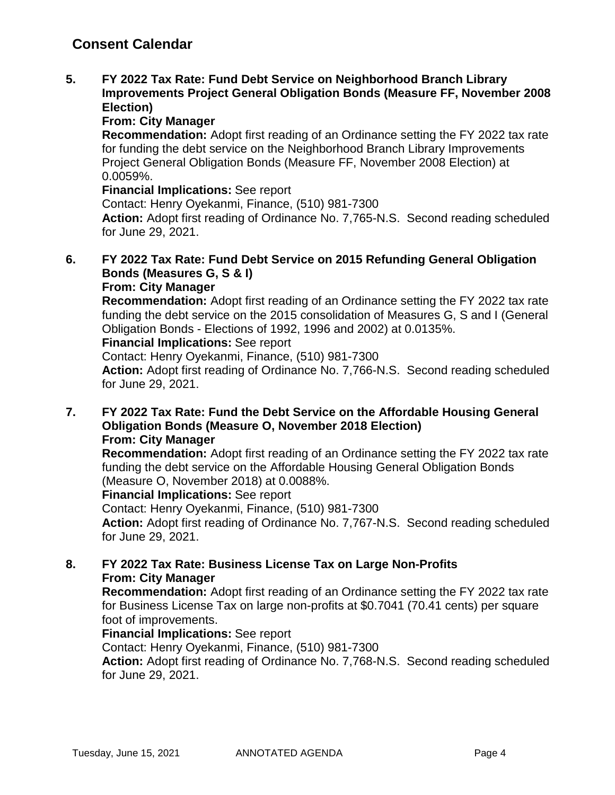**5. FY 2022 Tax Rate: Fund Debt Service on Neighborhood Branch Library Improvements Project General Obligation Bonds (Measure FF, November 2008 Election)**

### **From: City Manager**

**Recommendation:** Adopt first reading of an Ordinance setting the FY 2022 tax rate for funding the debt service on the Neighborhood Branch Library Improvements Project General Obligation Bonds (Measure FF, November 2008 Election) at 0.0059%.

### **Financial Implications:** See report

Contact: Henry Oyekanmi, Finance, (510) 981-7300

**Action:** Adopt first reading of Ordinance No. 7,765-N.S. Second reading scheduled for June 29, 2021.

#### **6. FY 2022 Tax Rate: Fund Debt Service on 2015 Refunding General Obligation Bonds (Measures G, S & I) From: City Manager**

**Recommendation:** Adopt first reading of an Ordinance setting the FY 2022 tax rate funding the debt service on the 2015 consolidation of Measures G, S and I (General Obligation Bonds - Elections of 1992, 1996 and 2002) at 0.0135%.

### **Financial Implications:** See report

Contact: Henry Oyekanmi, Finance, (510) 981-7300

**Action:** Adopt first reading of Ordinance No. 7,766-N.S. Second reading scheduled for June 29, 2021.

**7. FY 2022 Tax Rate: Fund the Debt Service on the Affordable Housing General Obligation Bonds (Measure O, November 2018 Election) From: City Manager**

**Recommendation:** Adopt first reading of an Ordinance setting the FY 2022 tax rate funding the debt service on the Affordable Housing General Obligation Bonds (Measure O, November 2018) at 0.0088%.

### **Financial Implications:** See report

Contact: Henry Oyekanmi, Finance, (510) 981-7300

**Action:** Adopt first reading of Ordinance No. 7,767-N.S. Second reading scheduled for June 29, 2021.

### **8. FY 2022 Tax Rate: Business License Tax on Large Non-Profits From: City Manager**

**Recommendation:** Adopt first reading of an Ordinance setting the FY 2022 tax rate for Business License Tax on large non-profits at \$0.7041 (70.41 cents) per square foot of improvements.

### **Financial Implications:** See report

Contact: Henry Oyekanmi, Finance, (510) 981-7300

**Action:** Adopt first reading of Ordinance No. 7,768-N.S. Second reading scheduled for June 29, 2021.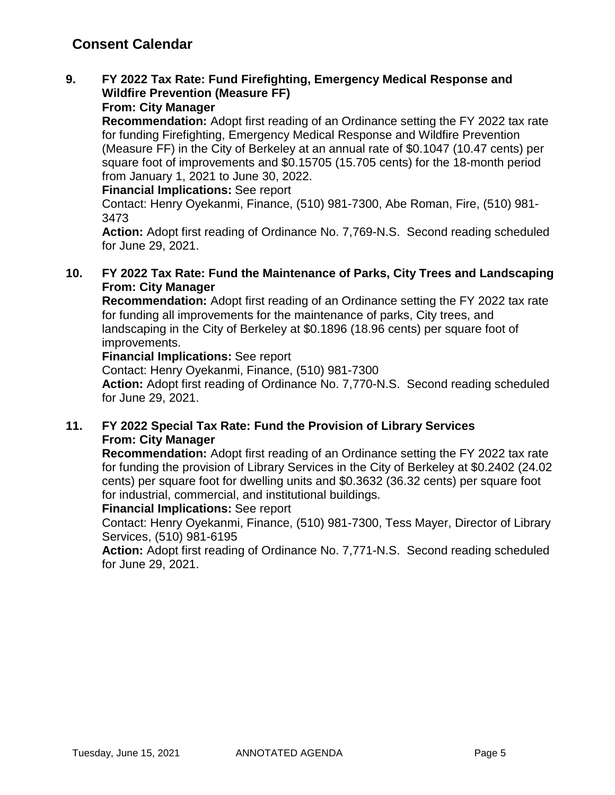# **Consent Calendar**

# **9. FY 2022 Tax Rate: Fund Firefighting, Emergency Medical Response and Wildfire Prevention (Measure FF)**

### **From: City Manager**

**Recommendation:** Adopt first reading of an Ordinance setting the FY 2022 tax rate for funding Firefighting, Emergency Medical Response and Wildfire Prevention (Measure FF) in the City of Berkeley at an annual rate of \$0.1047 (10.47 cents) per square foot of improvements and \$0.15705 (15.705 cents) for the 18-month period from January 1, 2021 to June 30, 2022.

#### **Financial Implications:** See report

Contact: Henry Oyekanmi, Finance, (510) 981-7300, Abe Roman, Fire, (510) 981- 3473

**Action:** Adopt first reading of Ordinance No. 7,769-N.S. Second reading scheduled for June 29, 2021.

### **10. FY 2022 Tax Rate: Fund the Maintenance of Parks, City Trees and Landscaping From: City Manager**

**Recommendation:** Adopt first reading of an Ordinance setting the FY 2022 tax rate for funding all improvements for the maintenance of parks, City trees, and landscaping in the City of Berkeley at \$0.1896 (18.96 cents) per square foot of improvements.

#### **Financial Implications:** See report

Contact: Henry Oyekanmi, Finance, (510) 981-7300

**Action:** Adopt first reading of Ordinance No. 7,770-N.S. Second reading scheduled for June 29, 2021.

### **11. FY 2022 Special Tax Rate: Fund the Provision of Library Services From: City Manager**

**Recommendation:** Adopt first reading of an Ordinance setting the FY 2022 tax rate for funding the provision of Library Services in the City of Berkeley at \$0.2402 (24.02 cents) per square foot for dwelling units and \$0.3632 (36.32 cents) per square foot for industrial, commercial, and institutional buildings.

#### **Financial Implications:** See report

Contact: Henry Oyekanmi, Finance, (510) 981-7300, Tess Mayer, Director of Library Services, (510) 981-6195

**Action:** Adopt first reading of Ordinance No. 7,771-N.S. Second reading scheduled for June 29, 2021.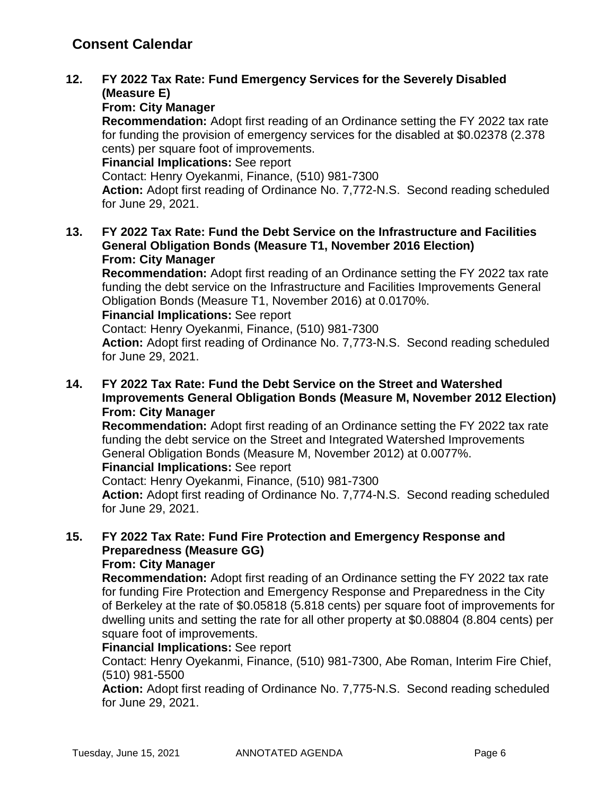### **12. FY 2022 Tax Rate: Fund Emergency Services for the Severely Disabled (Measure E)**

### **From: City Manager**

**Recommendation:** Adopt first reading of an Ordinance setting the FY 2022 tax rate for funding the provision of emergency services for the disabled at \$0.02378 (2.378 cents) per square foot of improvements.

**Financial Implications:** See report

Contact: Henry Oyekanmi, Finance, (510) 981-7300

**Action:** Adopt first reading of Ordinance No. 7,772-N.S. Second reading scheduled for June 29, 2021.

**13. FY 2022 Tax Rate: Fund the Debt Service on the Infrastructure and Facilities General Obligation Bonds (Measure T1, November 2016 Election) From: City Manager**

**Recommendation:** Adopt first reading of an Ordinance setting the FY 2022 tax rate funding the debt service on the Infrastructure and Facilities Improvements General Obligation Bonds (Measure T1, November 2016) at 0.0170%.

**Financial Implications:** See report

Contact: Henry Oyekanmi, Finance, (510) 981-7300

**Action:** Adopt first reading of Ordinance No. 7,773-N.S. Second reading scheduled for June 29, 2021.

### **14. FY 2022 Tax Rate: Fund the Debt Service on the Street and Watershed Improvements General Obligation Bonds (Measure M, November 2012 Election) From: City Manager**

**Recommendation:** Adopt first reading of an Ordinance setting the FY 2022 tax rate funding the debt service on the Street and Integrated Watershed Improvements General Obligation Bonds (Measure M, November 2012) at 0.0077%.

**Financial Implications:** See report

Contact: Henry Oyekanmi, Finance, (510) 981-7300

**Action:** Adopt first reading of Ordinance No. 7,774-N.S. Second reading scheduled for June 29, 2021.

# **15. FY 2022 Tax Rate: Fund Fire Protection and Emergency Response and Preparedness (Measure GG)**

### **From: City Manager**

**Recommendation:** Adopt first reading of an Ordinance setting the FY 2022 tax rate for funding Fire Protection and Emergency Response and Preparedness in the City of Berkeley at the rate of \$0.05818 (5.818 cents) per square foot of improvements for dwelling units and setting the rate for all other property at \$0.08804 (8.804 cents) per square foot of improvements.

### **Financial Implications:** See report

Contact: Henry Oyekanmi, Finance, (510) 981-7300, Abe Roman, Interim Fire Chief, (510) 981-5500

**Action:** Adopt first reading of Ordinance No. 7,775-N.S. Second reading scheduled for June 29, 2021.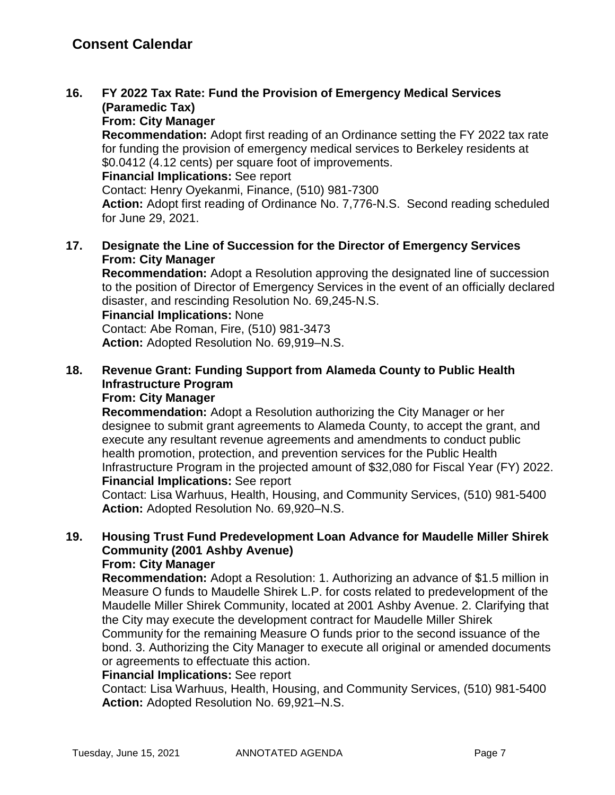# **16. FY 2022 Tax Rate: Fund the Provision of Emergency Medical Services (Paramedic Tax)**

**From: City Manager**

**Recommendation:** Adopt first reading of an Ordinance setting the FY 2022 tax rate for funding the provision of emergency medical services to Berkeley residents at \$0.0412 (4.12 cents) per square foot of improvements.

**Financial Implications:** See report

Contact: Henry Oyekanmi, Finance, (510) 981-7300

**Action:** Adopt first reading of Ordinance No. 7,776-N.S. Second reading scheduled for June 29, 2021.

### **17. Designate the Line of Succession for the Director of Emergency Services From: City Manager**

**Recommendation:** Adopt a Resolution approving the designated line of succession to the position of Director of Emergency Services in the event of an officially declared disaster, and rescinding Resolution No. 69,245-N.S.

**Financial Implications:** None

Contact: Abe Roman, Fire, (510) 981-3473 **Action:** Adopted Resolution No. 69,919–N.S.

# **18. Revenue Grant: Funding Support from Alameda County to Public Health Infrastructure Program**

## **From: City Manager**

**Recommendation:** Adopt a Resolution authorizing the City Manager or her designee to submit grant agreements to Alameda County, to accept the grant, and execute any resultant revenue agreements and amendments to conduct public health promotion, protection, and prevention services for the Public Health Infrastructure Program in the projected amount of \$32,080 for Fiscal Year (FY) 2022.

### **Financial Implications:** See report

Contact: Lisa Warhuus, Health, Housing, and Community Services, (510) 981-5400 **Action:** Adopted Resolution No. 69,920–N.S.

# **19. Housing Trust Fund Predevelopment Loan Advance for Maudelle Miller Shirek Community (2001 Ashby Avenue)**

### **From: City Manager**

**Recommendation:** Adopt a Resolution: 1. Authorizing an advance of \$1.5 million in Measure O funds to Maudelle Shirek L.P. for costs related to predevelopment of the Maudelle Miller Shirek Community, located at 2001 Ashby Avenue. 2. Clarifying that the City may execute the development contract for Maudelle Miller Shirek Community for the remaining Measure O funds prior to the second issuance of the bond. 3. Authorizing the City Manager to execute all original or amended documents or agreements to effectuate this action.

#### **Financial Implications:** See report

Contact: Lisa Warhuus, Health, Housing, and Community Services, (510) 981-5400 **Action:** Adopted Resolution No. 69,921–N.S.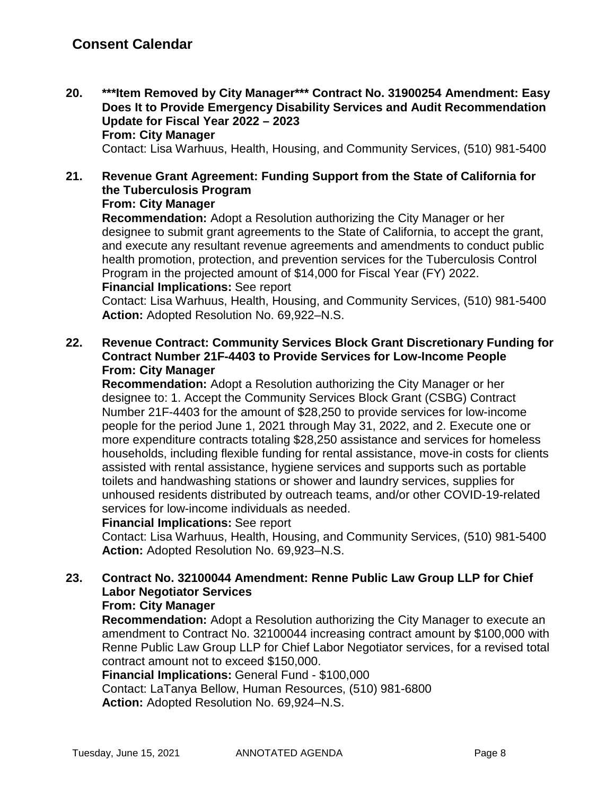**20. \*\*\*Item Removed by City Manager\*\*\* Contract No. 31900254 Amendment: Easy Does It to Provide Emergency Disability Services and Audit Recommendation Update for Fiscal Year 2022 – 2023 From: City Manager**

Contact: Lisa Warhuus, Health, Housing, and Community Services, (510) 981-5400

# **21. Revenue Grant Agreement: Funding Support from the State of California for the Tuberculosis Program**

### **From: City Manager**

**Recommendation:** Adopt a Resolution authorizing the City Manager or her designee to submit grant agreements to the State of California, to accept the grant, and execute any resultant revenue agreements and amendments to conduct public health promotion, protection, and prevention services for the Tuberculosis Control Program in the projected amount of \$14,000 for Fiscal Year (FY) 2022. **Financial Implications:** See report

Contact: Lisa Warhuus, Health, Housing, and Community Services, (510) 981-5400 **Action:** Adopted Resolution No. 69,922–N.S.

**22. Revenue Contract: Community Services Block Grant Discretionary Funding for Contract Number 21F-4403 to Provide Services for Low-Income People From: City Manager**

**Recommendation:** Adopt a Resolution authorizing the City Manager or her designee to: 1. Accept the Community Services Block Grant (CSBG) Contract Number 21F-4403 for the amount of \$28,250 to provide services for low-income people for the period June 1, 2021 through May 31, 2022, and 2. Execute one or more expenditure contracts totaling \$28,250 assistance and services for homeless households, including flexible funding for rental assistance, move-in costs for clients assisted with rental assistance, hygiene services and supports such as portable toilets and handwashing stations or shower and laundry services, supplies for unhoused residents distributed by outreach teams, and/or other COVID-19-related services for low-income individuals as needed.

### **Financial Implications:** See report

Contact: Lisa Warhuus, Health, Housing, and Community Services, (510) 981-5400 **Action:** Adopted Resolution No. 69,923–N.S.

# **23. Contract No. 32100044 Amendment: Renne Public Law Group LLP for Chief Labor Negotiator Services**

# **From: City Manager**

**Recommendation:** Adopt a Resolution authorizing the City Manager to execute an amendment to Contract No. 32100044 increasing contract amount by \$100,000 with Renne Public Law Group LLP for Chief Labor Negotiator services, for a revised total contract amount not to exceed \$150,000.

**Financial Implications:** General Fund - \$100,000

Contact: LaTanya Bellow, Human Resources, (510) 981-6800 **Action:** Adopted Resolution No. 69,924–N.S.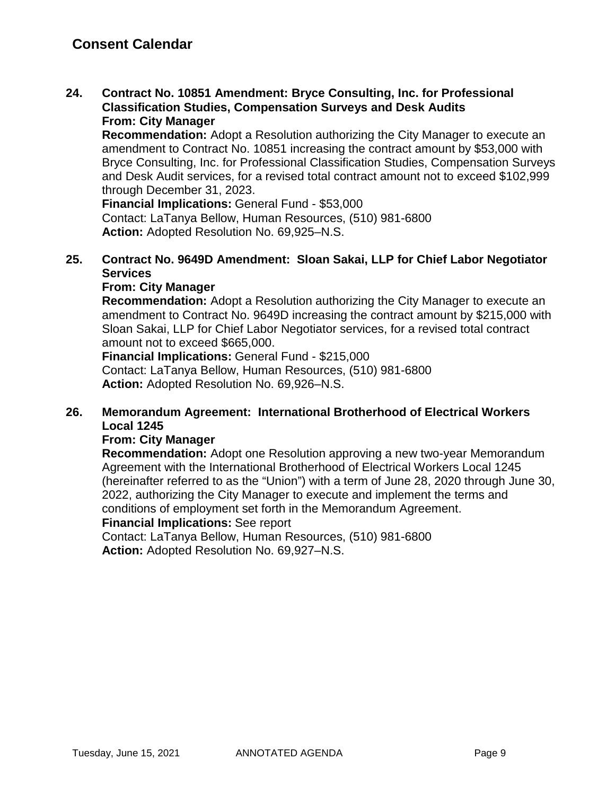**24. Contract No. 10851 Amendment: Bryce Consulting, Inc. for Professional Classification Studies, Compensation Surveys and Desk Audits From: City Manager**

**Recommendation:** Adopt a Resolution authorizing the City Manager to execute an amendment to Contract No. 10851 increasing the contract amount by \$53,000 with Bryce Consulting, Inc. for Professional Classification Studies, Compensation Surveys and Desk Audit services, for a revised total contract amount not to exceed \$102,999 through December 31, 2023.

**Financial Implications:** General Fund - \$53,000 Contact: LaTanya Bellow, Human Resources, (510) 981-6800 **Action:** Adopted Resolution No. 69,925–N.S.

### **25. Contract No. 9649D Amendment: Sloan Sakai, LLP for Chief Labor Negotiator Services**

### **From: City Manager**

**Recommendation:** Adopt a Resolution authorizing the City Manager to execute an amendment to Contract No. 9649D increasing the contract amount by \$215,000 with Sloan Sakai, LLP for Chief Labor Negotiator services, for a revised total contract amount not to exceed \$665,000.

**Financial Implications:** General Fund - \$215,000 Contact: LaTanya Bellow, Human Resources, (510) 981-6800 **Action:** Adopted Resolution No. 69,926–N.S.

### **26. Memorandum Agreement: International Brotherhood of Electrical Workers Local 1245**

### **From: City Manager**

**Recommendation:** Adopt one Resolution approving a new two-year Memorandum Agreement with the International Brotherhood of Electrical Workers Local 1245 (hereinafter referred to as the "Union") with a term of June 28, 2020 through June 30, 2022, authorizing the City Manager to execute and implement the terms and conditions of employment set forth in the Memorandum Agreement.

#### **Financial Implications:** See report

Contact: LaTanya Bellow, Human Resources, (510) 981-6800 **Action:** Adopted Resolution No. 69,927–N.S.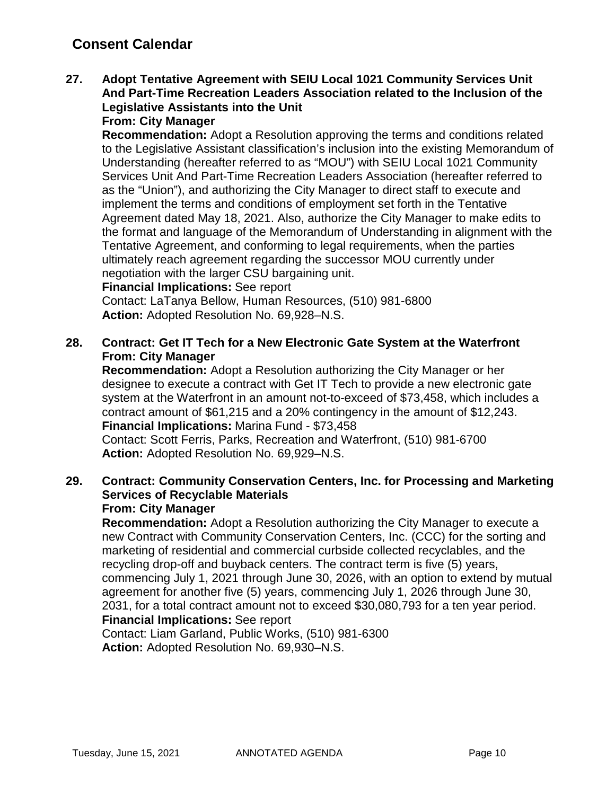# **Consent Calendar**

#### **27. Adopt Tentative Agreement with SEIU Local 1021 Community Services Unit And Part-Time Recreation Leaders Association related to the Inclusion of the Legislative Assistants into the Unit From: City Manager**

**Recommendation:** Adopt a Resolution approving the terms and conditions related to the Legislative Assistant classification's inclusion into the existing Memorandum of Understanding (hereafter referred to as "MOU") with SEIU Local 1021 Community Services Unit And Part-Time Recreation Leaders Association (hereafter referred to as the "Union"), and authorizing the City Manager to direct staff to execute and implement the terms and conditions of employment set forth in the Tentative Agreement dated May 18, 2021. Also, authorize the City Manager to make edits to the format and language of the Memorandum of Understanding in alignment with the Tentative Agreement, and conforming to legal requirements, when the parties ultimately reach agreement regarding the successor MOU currently under negotiation with the larger CSU bargaining unit.

### **Financial Implications:** See report

Contact: LaTanya Bellow, Human Resources, (510) 981-6800 **Action:** Adopted Resolution No. 69,928–N.S.

### **28. Contract: Get IT Tech for a New Electronic Gate System at the Waterfront From: City Manager**

**Recommendation:** Adopt a Resolution authorizing the City Manager or her designee to execute a contract with Get IT Tech to provide a new electronic gate system at the Waterfront in an amount not-to-exceed of \$73,458, which includes a contract amount of \$61,215 and a 20% contingency in the amount of \$12,243. **Financial Implications:** Marina Fund - \$73,458 Contact: Scott Ferris, Parks, Recreation and Waterfront, (510) 981-6700

**Action:** Adopted Resolution No. 69,929–N.S.

#### **29. Contract: Community Conservation Centers, Inc. for Processing and Marketing Services of Recyclable Materials From: City Manager**

**Recommendation:** Adopt a Resolution authorizing the City Manager to execute a new Contract with Community Conservation Centers, Inc. (CCC) for the sorting and marketing of residential and commercial curbside collected recyclables, and the recycling drop-off and buyback centers. The contract term is five (5) years, commencing July 1, 2021 through June 30, 2026, with an option to extend by mutual agreement for another five (5) years, commencing July 1, 2026 through June 30, 2031, for a total contract amount not to exceed \$30,080,793 for a ten year period. **Financial Implications:** See report

Contact: Liam Garland, Public Works, (510) 981-6300 **Action:** Adopted Resolution No. 69,930–N.S.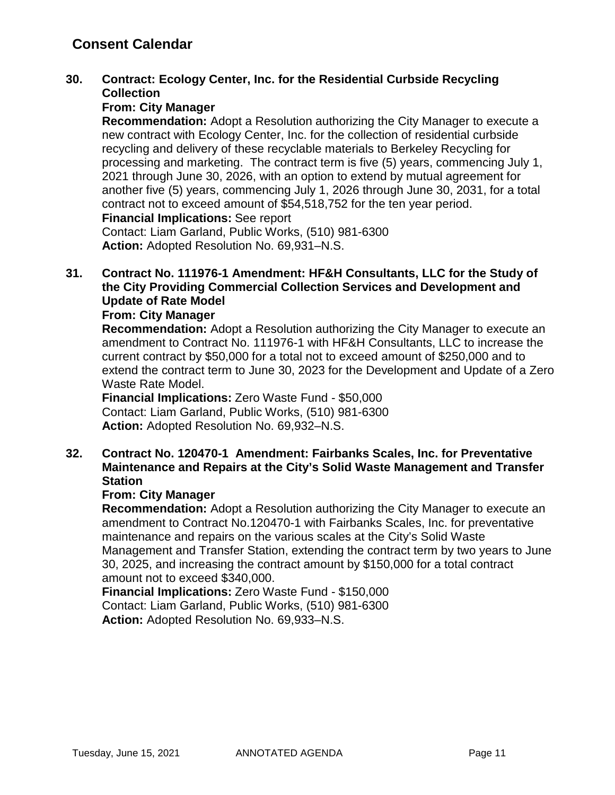# **Consent Calendar**

### **30. Contract: Ecology Center, Inc. for the Residential Curbside Recycling Collection**

### **From: City Manager**

**Recommendation:** Adopt a Resolution authorizing the City Manager to execute a new contract with Ecology Center, Inc. for the collection of residential curbside recycling and delivery of these recyclable materials to Berkeley Recycling for processing and marketing. The contract term is five (5) years, commencing July 1, 2021 through June 30, 2026, with an option to extend by mutual agreement for another five (5) years, commencing July 1, 2026 through June 30, 2031, for a total contract not to exceed amount of \$54,518,752 for the ten year period. **Financial Implications:** See report

Contact: Liam Garland, Public Works, (510) 981-6300 **Action:** Adopted Resolution No. 69,931–N.S.

### **31. Contract No. 111976-1 Amendment: HF&H Consultants, LLC for the Study of the City Providing Commercial Collection Services and Development and Update of Rate Model**

### **From: City Manager**

**Recommendation:** Adopt a Resolution authorizing the City Manager to execute an amendment to Contract No. 111976-1 with HF&H Consultants, LLC to increase the current contract by \$50,000 for a total not to exceed amount of \$250,000 and to extend the contract term to June 30, 2023 for the Development and Update of a Zero Waste Rate Model.

**Financial Implications:** Zero Waste Fund - \$50,000 Contact: Liam Garland, Public Works, (510) 981-6300 **Action:** Adopted Resolution No. 69,932–N.S.

### **32. Contract No. 120470-1 Amendment: Fairbanks Scales, Inc. for Preventative Maintenance and Repairs at the City's Solid Waste Management and Transfer Station**

#### **From: City Manager**

**Recommendation:** Adopt a Resolution authorizing the City Manager to execute an amendment to Contract No.120470-1 with Fairbanks Scales, Inc. for preventative maintenance and repairs on the various scales at the City's Solid Waste Management and Transfer Station, extending the contract term by two years to June 30, 2025, and increasing the contract amount by \$150,000 for a total contract amount not to exceed \$340,000.

**Financial Implications:** Zero Waste Fund - \$150,000 Contact: Liam Garland, Public Works, (510) 981-6300 **Action:** Adopted Resolution No. 69,933–N.S.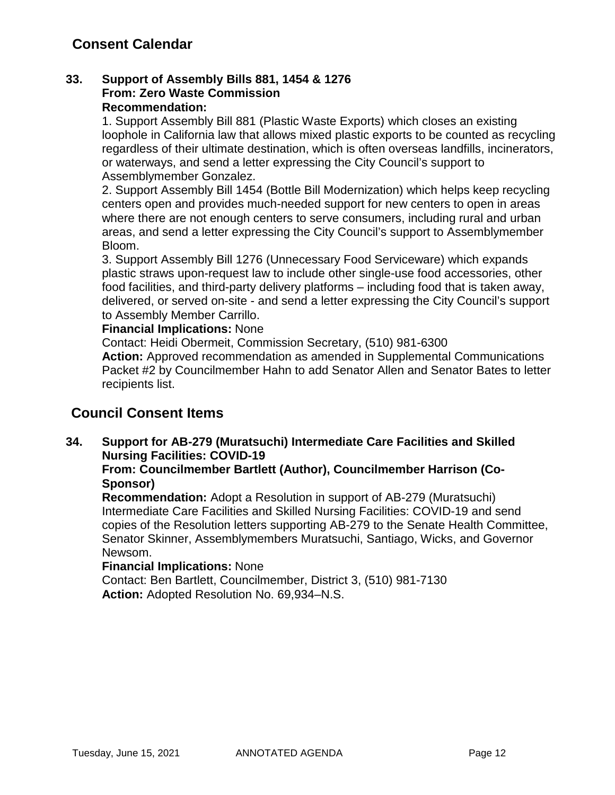### **33. Support of Assembly Bills 881, 1454 & 1276 From: Zero Waste Commission Recommendation:**

1. Support Assembly Bill 881 (Plastic Waste Exports) which closes an existing loophole in California law that allows mixed plastic exports to be counted as recycling regardless of their ultimate destination, which is often overseas landfills, incinerators, or waterways, and send a letter expressing the City Council's support to Assemblymember Gonzalez.

2. Support Assembly Bill 1454 (Bottle Bill Modernization) which helps keep recycling centers open and provides much-needed support for new centers to open in areas where there are not enough centers to serve consumers, including rural and urban areas, and send a letter expressing the City Council's support to Assemblymember Bloom.

3. Support Assembly Bill 1276 (Unnecessary Food Serviceware) which expands plastic straws upon-request law to include other single-use food accessories, other food facilities, and third-party delivery platforms – including food that is taken away, delivered, or served on-site - and send a letter expressing the City Council's support to Assembly Member Carrillo.

### **Financial Implications:** None

Contact: Heidi Obermeit, Commission Secretary, (510) 981-6300

**Action:** Approved recommendation as amended in Supplemental Communications Packet #2 by Councilmember Hahn to add Senator Allen and Senator Bates to letter recipients list.

# **Council Consent Items**

## **34. Support for AB-279 (Muratsuchi) Intermediate Care Facilities and Skilled Nursing Facilities: COVID-19**

### **From: Councilmember Bartlett (Author), Councilmember Harrison (Co-Sponsor)**

**Recommendation:** Adopt a Resolution in support of AB-279 (Muratsuchi) Intermediate Care Facilities and Skilled Nursing Facilities: COVID-19 and send copies of the Resolution letters supporting AB-279 to the Senate Health Committee, Senator Skinner, Assemblymembers Muratsuchi, Santiago, Wicks, and Governor Newsom.

### **Financial Implications:** None

Contact: Ben Bartlett, Councilmember, District 3, (510) 981-7130 **Action:** Adopted Resolution No. 69,934–N.S.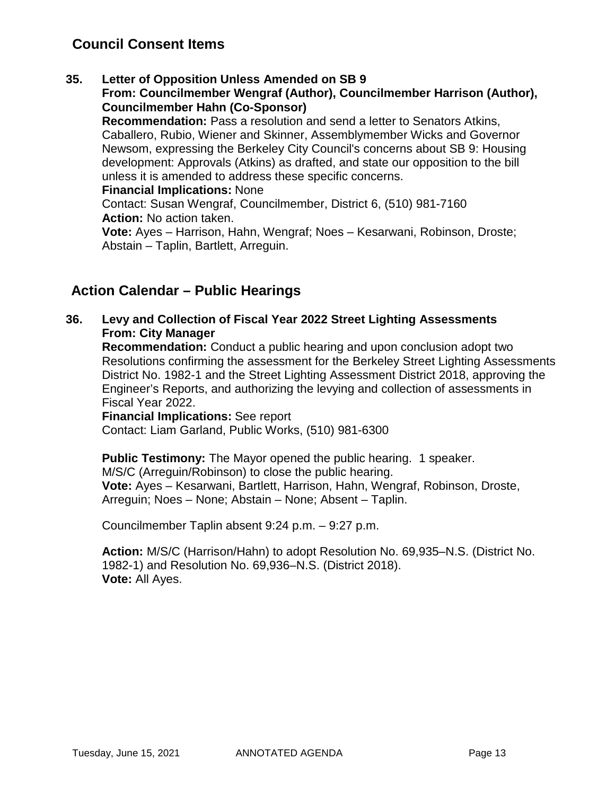# **Council Consent Items**

### **35. Letter of Opposition Unless Amended on SB 9**

**From: Councilmember Wengraf (Author), Councilmember Harrison (Author), Councilmember Hahn (Co-Sponsor)**

**Recommendation:** Pass a resolution and send a letter to Senators Atkins, Caballero, Rubio, Wiener and Skinner, Assemblymember Wicks and Governor Newsom, expressing the Berkeley City Council's concerns about SB 9: Housing development: Approvals (Atkins) as drafted, and state our opposition to the bill unless it is amended to address these specific concerns.

#### **Financial Implications:** None

Contact: Susan Wengraf, Councilmember, District 6, (510) 981-7160 **Action:** No action taken.

**Vote:** Ayes – Harrison, Hahn, Wengraf; Noes – Kesarwani, Robinson, Droste; Abstain – Taplin, Bartlett, Arreguin.

# **Action Calendar – Public Hearings**

### **36. Levy and Collection of Fiscal Year 2022 Street Lighting Assessments From: City Manager**

**Recommendation:** Conduct a public hearing and upon conclusion adopt two Resolutions confirming the assessment for the Berkeley Street Lighting Assessments District No. 1982-1 and the Street Lighting Assessment District 2018, approving the Engineer's Reports, and authorizing the levying and collection of assessments in Fiscal Year 2022.

**Financial Implications:** See report Contact: Liam Garland, Public Works, (510) 981-6300

**Public Testimony:** The Mayor opened the public hearing. 1 speaker. M/S/C (Arreguin/Robinson) to close the public hearing. **Vote:** Ayes – Kesarwani, Bartlett, Harrison, Hahn, Wengraf, Robinson, Droste, Arreguin; Noes – None; Abstain – None; Absent – Taplin.

Councilmember Taplin absent 9:24 p.m. – 9:27 p.m.

**Action:** M/S/C (Harrison/Hahn) to adopt Resolution No. 69,935–N.S. (District No. 1982-1) and Resolution No. 69,936–N.S. (District 2018). **Vote:** All Ayes.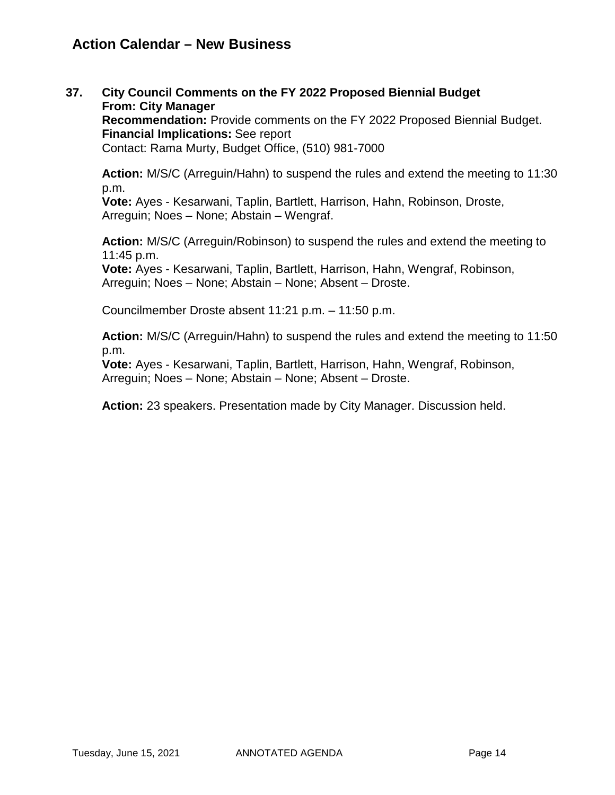# **Action Calendar – New Business**

**37. City Council Comments on the FY 2022 Proposed Biennial Budget From: City Manager Recommendation:** Provide comments on the FY 2022 Proposed Biennial Budget. **Financial Implications:** See report Contact: Rama Murty, Budget Office, (510) 981-7000

**Action:** M/S/C (Arreguin/Hahn) to suspend the rules and extend the meeting to 11:30 p.m.

**Vote:** Ayes - Kesarwani, Taplin, Bartlett, Harrison, Hahn, Robinson, Droste, Arreguin; Noes – None; Abstain – Wengraf.

**Action:** M/S/C (Arreguin/Robinson) to suspend the rules and extend the meeting to 11:45 p.m.

**Vote:** Ayes - Kesarwani, Taplin, Bartlett, Harrison, Hahn, Wengraf, Robinson, Arreguin; Noes – None; Abstain – None; Absent – Droste.

Councilmember Droste absent 11:21 p.m. – 11:50 p.m.

**Action:** M/S/C (Arreguin/Hahn) to suspend the rules and extend the meeting to 11:50 p.m.

**Vote:** Ayes - Kesarwani, Taplin, Bartlett, Harrison, Hahn, Wengraf, Robinson, Arreguin; Noes – None; Abstain – None; Absent – Droste.

**Action:** 23 speakers. Presentation made by City Manager. Discussion held.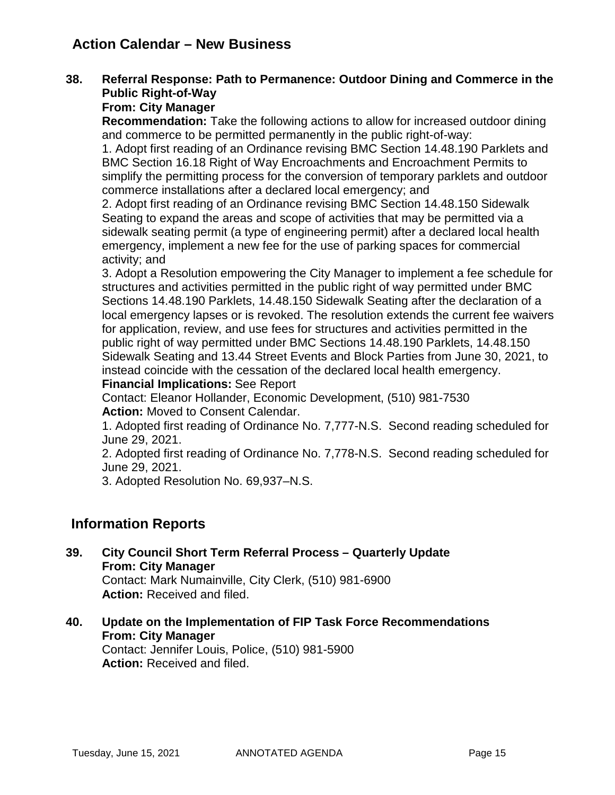# **Action Calendar – New Business**

### **38. Referral Response: Path to Permanence: Outdoor Dining and Commerce in the Public Right-of-Way**

### **From: City Manager**

**Recommendation:** Take the following actions to allow for increased outdoor dining and commerce to be permitted permanently in the public right-of-way:

1. Adopt first reading of an Ordinance revising BMC Section 14.48.190 Parklets and BMC Section 16.18 Right of Way Encroachments and Encroachment Permits to simplify the permitting process for the conversion of temporary parklets and outdoor commerce installations after a declared local emergency; and

2. Adopt first reading of an Ordinance revising BMC Section 14.48.150 Sidewalk Seating to expand the areas and scope of activities that may be permitted via a sidewalk seating permit (a type of engineering permit) after a declared local health emergency, implement a new fee for the use of parking spaces for commercial activity; and

3. Adopt a Resolution empowering the City Manager to implement a fee schedule for structures and activities permitted in the public right of way permitted under BMC Sections 14.48.190 Parklets, 14.48.150 Sidewalk Seating after the declaration of a local emergency lapses or is revoked. The resolution extends the current fee waivers for application, review, and use fees for structures and activities permitted in the public right of way permitted under BMC Sections 14.48.190 Parklets, 14.48.150 Sidewalk Seating and 13.44 Street Events and Block Parties from June 30, 2021, to instead coincide with the cessation of the declared local health emergency.

### **Financial Implications:** See Report

Contact: Eleanor Hollander, Economic Development, (510) 981-7530 **Action:** Moved to Consent Calendar.

1. Adopted first reading of Ordinance No. 7,777-N.S. Second reading scheduled for June 29, 2021.

2. Adopted first reading of Ordinance No. 7,778-N.S. Second reading scheduled for June 29, 2021.

3. Adopted Resolution No. 69,937–N.S.

# **Information Reports**

**39. City Council Short Term Referral Process – Quarterly Update From: City Manager**

Contact: Mark Numainville, City Clerk, (510) 981-6900 **Action:** Received and filed.

**40. Update on the Implementation of FIP Task Force Recommendations From: City Manager**

Contact: Jennifer Louis, Police, (510) 981-5900 **Action:** Received and filed.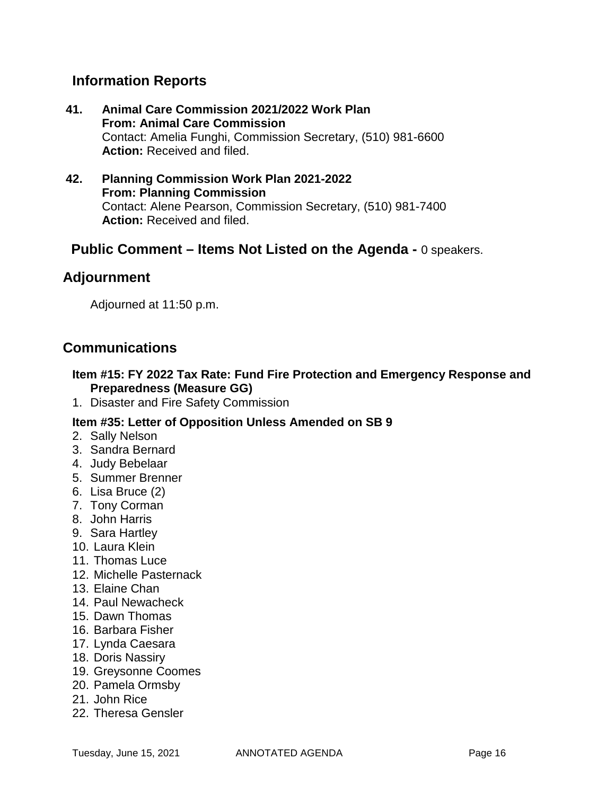# **Information Reports**

- **41. Animal Care Commission 2021/2022 Work Plan From: Animal Care Commission** Contact: Amelia Funghi, Commission Secretary, (510) 981-6600 **Action:** Received and filed.
- **42. Planning Commission Work Plan 2021-2022 From: Planning Commission** Contact: Alene Pearson, Commission Secretary, (510) 981-7400 **Action:** Received and filed.

# **Public Comment – Items Not Listed on the Agenda -** 0 speakers.

# **Adjournment**

Adjourned at 11:50 p.m.

# **Communications**

### **Item #15: FY 2022 Tax Rate: Fund Fire Protection and Emergency Response and Preparedness (Measure GG)**

1. Disaster and Fire Safety Commission

### **Item #35: Letter of Opposition Unless Amended on SB 9**

- 2. Sally Nelson
- 3. Sandra Bernard
- 4. Judy Bebelaar
- 5. Summer Brenner
- 6. Lisa Bruce (2)
- 7. Tony Corman
- 8. John Harris
- 9. Sara Hartley
- 10. Laura Klein
- 11. Thomas Luce
- 12. Michelle Pasternack
- 13. Elaine Chan
- 14. Paul Newacheck
- 15. Dawn Thomas
- 16. Barbara Fisher
- 17. Lynda Caesara
- 18. Doris Nassiry
- 19. Greysonne Coomes
- 20. Pamela Ormsby
- 21. John Rice
- 22. Theresa Gensler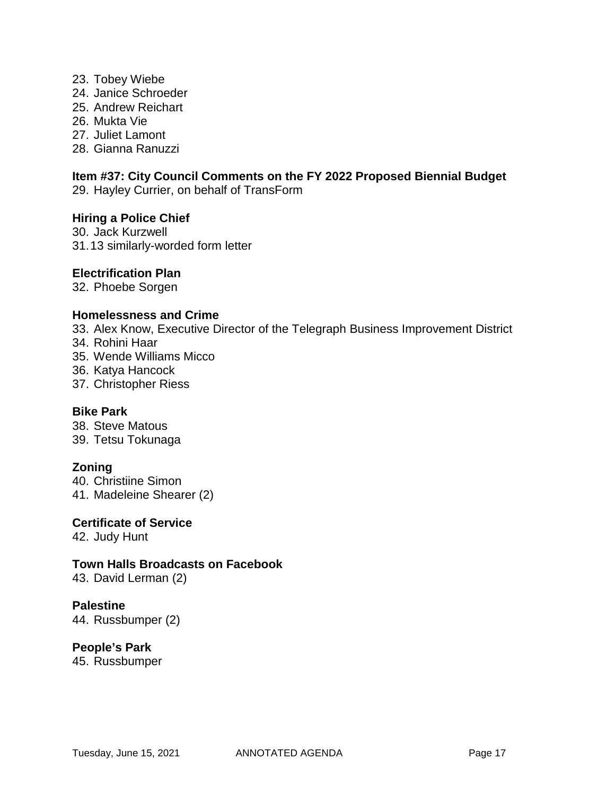- 23. Tobey Wiebe
- 24. Janice Schroeder
- 25. Andrew Reichart
- 26. Mukta Vie

27. Juliet Lamont

28. Gianna Ranuzzi

# **Item #37: City Council Comments on the FY 2022 Proposed Biennial Budget**

29. Hayley Currier, on behalf of TransForm

### **Hiring a Police Chief**

30. Jack Kurzwell 31.13 similarly-worded form letter

### **Electrification Plan**

32. Phoebe Sorgen

#### **Homelessness and Crime**

33. Alex Know, Executive Director of the Telegraph Business Improvement District 34. Rohini Haar

- 35. Wende Williams Micco
- 36. Katya Hancock
- 37. Christopher Riess

#### **Bike Park**

38. Steve Matous 39. Tetsu Tokunaga

#### **Zoning**

40. Christiine Simon 41. Madeleine Shearer (2)

#### **Certificate of Service**

42. Judy Hunt

#### **Town Halls Broadcasts on Facebook**

43. David Lerman (2)

### **Palestine**

44. Russbumper (2)

### **People's Park**

45. Russbumper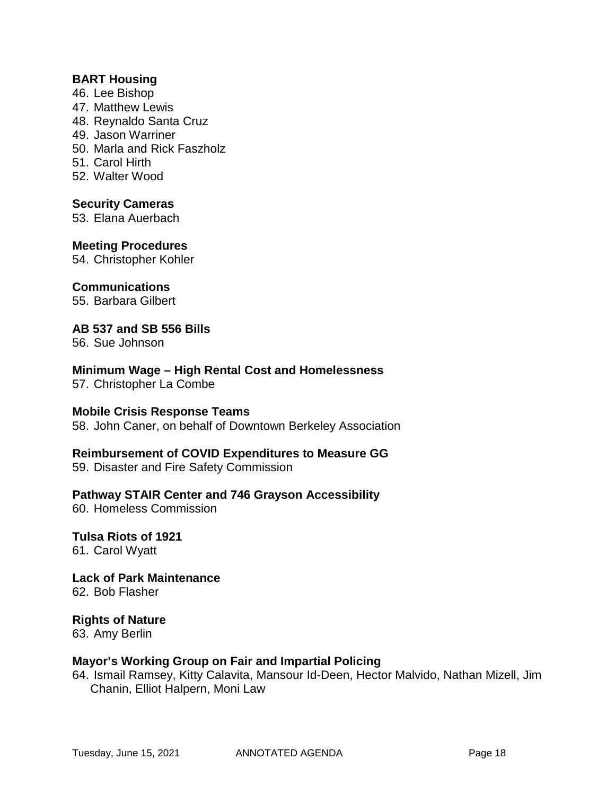### **BART Housing**

- 46. Lee Bishop
- 47. Matthew Lewis
- 48. Reynaldo Santa Cruz
- 49. Jason Warriner
- 50. Marla and Rick Faszholz
- 51. Carol Hirth
- 52. Walter Wood

### **Security Cameras**

53. Elana Auerbach

### **Meeting Procedures**

54. Christopher Kohler

### **Communications**

55. Barbara Gilbert

### **AB 537 and SB 556 Bills**

56. Sue Johnson

# **Minimum Wage – High Rental Cost and Homelessness**

57. Christopher La Combe

### **Mobile Crisis Response Teams**

58. John Caner, on behalf of Downtown Berkeley Association

### **Reimbursement of COVID Expenditures to Measure GG**

59. Disaster and Fire Safety Commission

### **Pathway STAIR Center and 746 Grayson Accessibility**

60. Homeless Commission

### **Tulsa Riots of 1921** 61. Carol Wyatt

**Lack of Park Maintenance** 62. Bob Flasher

# **Rights of Nature**

63. Amy Berlin

### **Mayor's Working Group on Fair and Impartial Policing**

64. Ismail Ramsey, Kitty Calavita, Mansour Id-Deen, Hector Malvido, Nathan Mizell, Jim Chanin, Elliot Halpern, Moni Law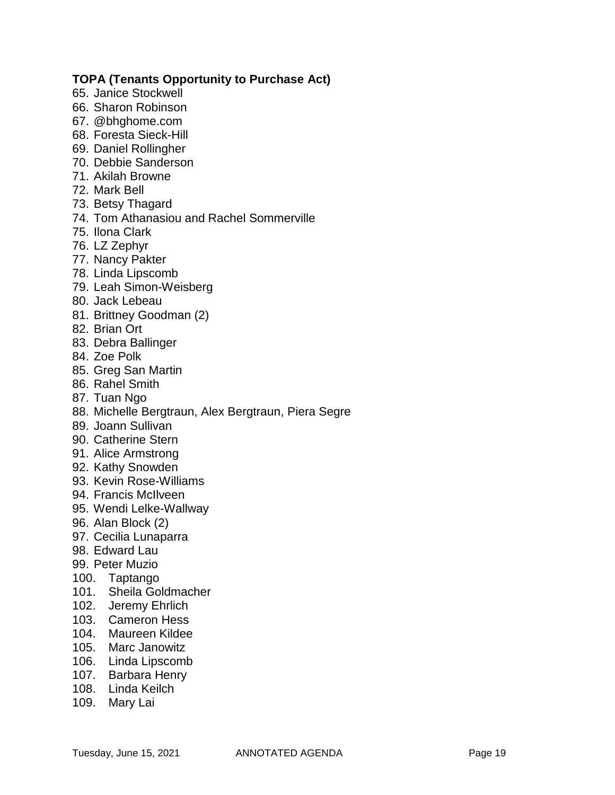### **TOPA (Tenants Opportunity to Purchase Act)**

- 65. Janice Stockwell
- 66. Sharon Robinson
- 67. @bhghome.com
- 68. Foresta Sieck-Hill
- 69. Daniel Rollingher
- 70. Debbie Sanderson
- 71. Akilah Browne
- 72. Mark Bell
- 73. Betsy Thagard
- 74. Tom Athanasiou and Rachel Sommerville
- 75. Ilona Clark
- 76. LZ Zephyr
- 77. Nancy Pakter
- 78. Linda Lipscomb
- 79. Leah Simon-Weisberg
- 80. Jack Lebeau
- 81. Brittney Goodman (2)
- 82. Brian Ort
- 83. Debra Ballinger
- 84. Zoe Polk
- 85. Greg San Martin
- 86. Rahel Smith
- 87. Tuan Ngo
- 88. Michelle Bergtraun, Alex Bergtraun, Piera Segre
- 89. Joann Sullivan
- 90. Catherine Stern
- 91. Alice Armstrong
- 92. Kathy Snowden
- 93. Kevin Rose-Williams
- 94. Francis McIlveen
- 95. Wendi Lelke-Wallway
- 96. Alan Block (2)
- 97. Cecilia Lunaparra
- 98. Edward Lau
- 99. Peter Muzio
- 100. Taptango
- 101. Sheila Goldmacher
- 102. Jeremy Ehrlich
- 103. Cameron Hess
- 104. Maureen Kildee
- 105. Marc Janowitz
- 106. Linda Lipscomb
- 107. Barbara Henry
- 108. Linda Keilch
- 109. Mary Lai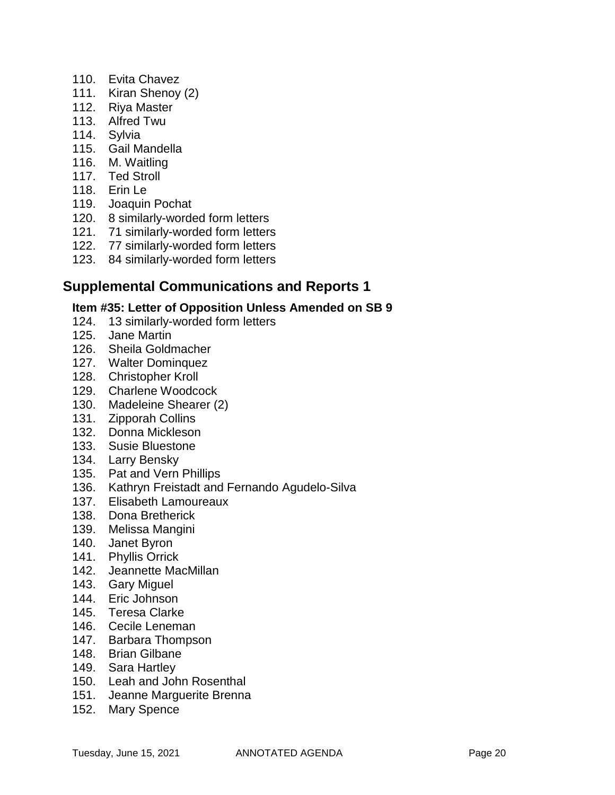- 110. Evita Chavez
- 111. Kiran Shenoy (2)
- 112. Riya Master
- 113. Alfred Twu
- 114. Sylvia
- 115. Gail Mandella
- 116. M. Waitling
- 117. Ted Stroll
- 118. Erin Le
- 119. Joaquin Pochat
- 120. 8 similarly-worded form letters
- 121. 71 similarly-worded form letters
- 122. 77 similarly-worded form letters
- 123. 84 similarly-worded form letters

# **Supplemental Communications and Reports 1**

### **Item #35: Letter of Opposition Unless Amended on SB 9**

- 124. 13 similarly-worded form letters
- 125. Jane Martin
- 126. Sheila Goldmacher
- 127. Walter Dominquez
- 128. Christopher Kroll
- 129. Charlene Woodcock
- 130. Madeleine Shearer (2)
- 131. Zipporah Collins
- 132. Donna Mickleson
- 133. Susie Bluestone
- 134. Larry Bensky
- 135. Pat and Vern Phillips
- 136. Kathryn Freistadt and Fernando Agudelo-Silva
- 137. Elisabeth Lamoureaux
- 138. Dona Bretherick
- 139. Melissa Mangini
- 140. Janet Byron
- 141. Phyllis Orrick
- 142. Jeannette MacMillan
- 143. Gary Miguel
- 144. Eric Johnson
- 145. Teresa Clarke
- 146. Cecile Leneman
- 147. Barbara Thompson
- 148. Brian Gilbane
- 149. Sara Hartley
- 150. Leah and John Rosenthal
- 151. Jeanne Marguerite Brenna
- 152. Mary Spence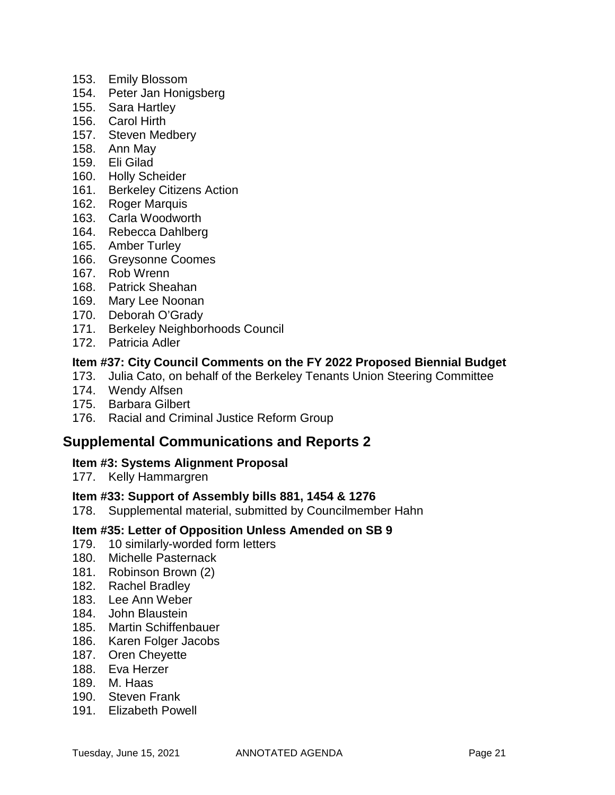- 153. Emily Blossom
- 154. Peter Jan Honigsberg
- 155. Sara Hartley
- 156. Carol Hirth
- 157. Steven Medbery
- 158. Ann May
- 159. Eli Gilad
- 160. Holly Scheider
- 161. Berkeley Citizens Action
- 162. Roger Marquis
- 163. Carla Woodworth
- 164. Rebecca Dahlberg
- 165. Amber Turley
- 166. Greysonne Coomes
- 167. Rob Wrenn
- 168. Patrick Sheahan
- 169. Mary Lee Noonan
- 170. Deborah O'Grady
- 171. Berkeley Neighborhoods Council
- 172. Patricia Adler

### **Item #37: City Council Comments on the FY 2022 Proposed Biennial Budget**

- 173. Julia Cato, on behalf of the Berkeley Tenants Union Steering Committee
- 174. Wendy Alfsen
- 175. Barbara Gilbert
- 176. Racial and Criminal Justice Reform Group

### **Supplemental Communications and Reports 2**

#### **Item #3: Systems Alignment Proposal**

177. Kelly Hammargren

#### **Item #33: Support of Assembly bills 881, 1454 & 1276**

178. Supplemental material, submitted by Councilmember Hahn

### **Item #35: Letter of Opposition Unless Amended on SB 9**

- 179. 10 similarly-worded form letters
- 180. Michelle Pasternack
- 181. Robinson Brown (2)
- 182. Rachel Bradley
- 183. Lee Ann Weber
- 184. John Blaustein
- 185. Martin Schiffenbauer
- 186. Karen Folger Jacobs
- 187. Oren Cheyette
- 188. Eva Herzer
- 189. M. Haas
- 190. Steven Frank
- 191. Elizabeth Powell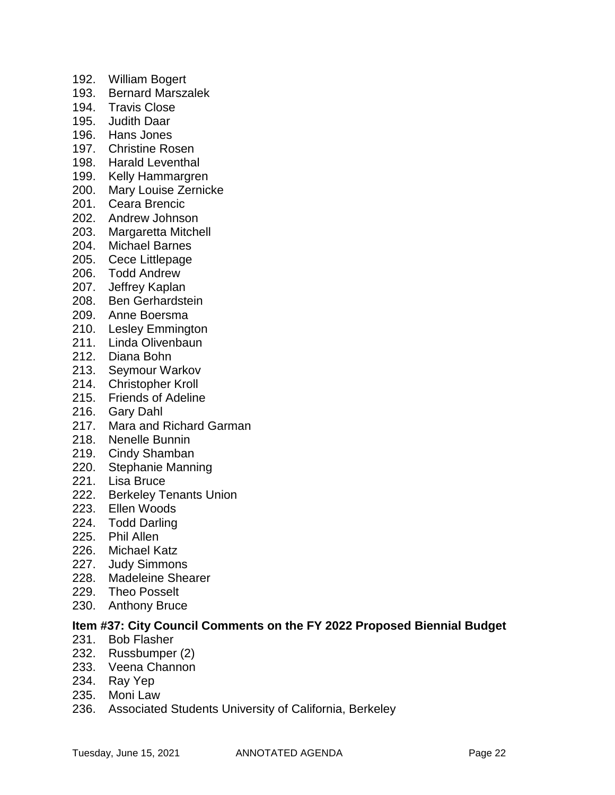- 192. William Bogert
- 193. Bernard Marszalek
- 194. Travis Close
- 195. Judith Daar
- 196. Hans Jones
- 197. Christine Rosen
- 198. Harald Leventhal
- 199. Kelly Hammargren
- 200. Mary Louise Zernicke
- 201. Ceara Brencic
- 202. Andrew Johnson
- 203. Margaretta Mitchell
- 204. Michael Barnes
- 205. Cece Littlepage
- 206. Todd Andrew
- 207. Jeffrey Kaplan
- 208. Ben Gerhardstein
- 209. Anne Boersma
- 210. Lesley Emmington
- 211. Linda Olivenbaun
- 212. Diana Bohn
- 213. Seymour Warkov
- 214. Christopher Kroll
- 215. Friends of Adeline
- 216. Gary Dahl
- 217. Mara and Richard Garman
- 218. Nenelle Bunnin
- 219. Cindy Shamban
- 220. Stephanie Manning
- 221. Lisa Bruce
- 222. Berkeley Tenants Union
- 223. Ellen Woods
- 224. Todd Darling
- 225. Phil Allen
- 226. Michael Katz
- 227. Judy Simmons
- 228. Madeleine Shearer
- 229. Theo Posselt
- 230. Anthony Bruce

### **Item #37: City Council Comments on the FY 2022 Proposed Biennial Budget**

- 231. Bob Flasher
- 232. Russbumper (2)
- 233. Veena Channon
- 234. Ray Yep
- 235. Moni Law
- 236. Associated Students University of California, Berkeley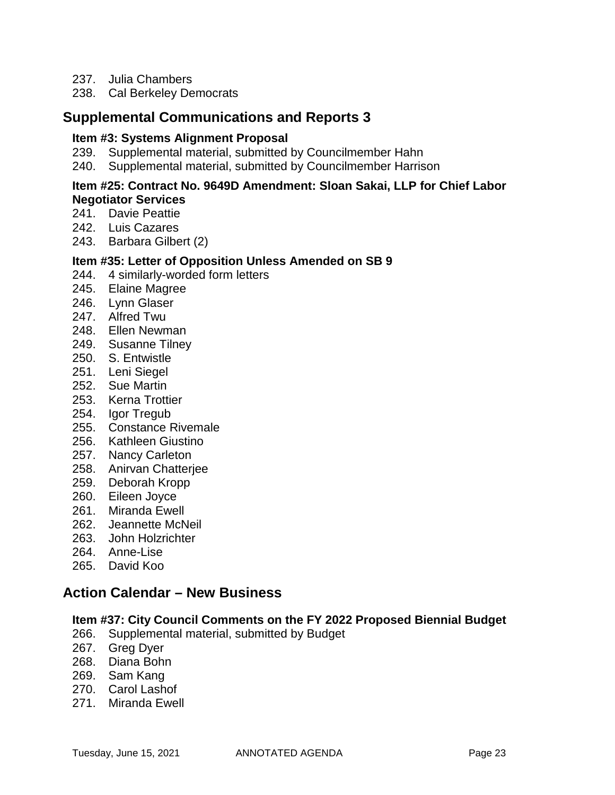- 237. Julia Chambers
- 238. Cal Berkeley Democrats

## **Supplemental Communications and Reports 3**

#### **Item #3: Systems Alignment Proposal**

- 239. Supplemental material, submitted by Councilmember Hahn
- 240. Supplemental material, submitted by Councilmember Harrison

#### **Item #25: Contract No. 9649D Amendment: Sloan Sakai, LLP for Chief Labor Negotiator Services**

- 241. Davie Peattie
- 242. Luis Cazares
- 243. Barbara Gilbert (2)

### **Item #35: Letter of Opposition Unless Amended on SB 9**

- 244. 4 similarly-worded form letters
- 245. Elaine Magree
- 246. Lynn Glaser
- 247. Alfred Twu
- 248. Ellen Newman
- 249. Susanne Tilney
- 250. S. Entwistle
- 251. Leni Siegel
- 252. Sue Martin
- 253. Kerna Trottier
- 254. Igor Tregub
- 255. Constance Rivemale
- 256. Kathleen Giustino
- 257. Nancy Carleton
- 258. Anirvan Chatterjee
- 259. Deborah Kropp
- 260. Eileen Joyce
- 261. Miranda Ewell
- 262. Jeannette McNeil
- 263. John Holzrichter
- 264. Anne-Lise
- 265. David Koo

# **Action Calendar – New Business**

### **Item #37: City Council Comments on the FY 2022 Proposed Biennial Budget**

- 266. Supplemental material, submitted by Budget
- 267. Greg Dyer
- 268. Diana Bohn
- 269. Sam Kang
- 270. Carol Lashof
- 271. Miranda Ewell